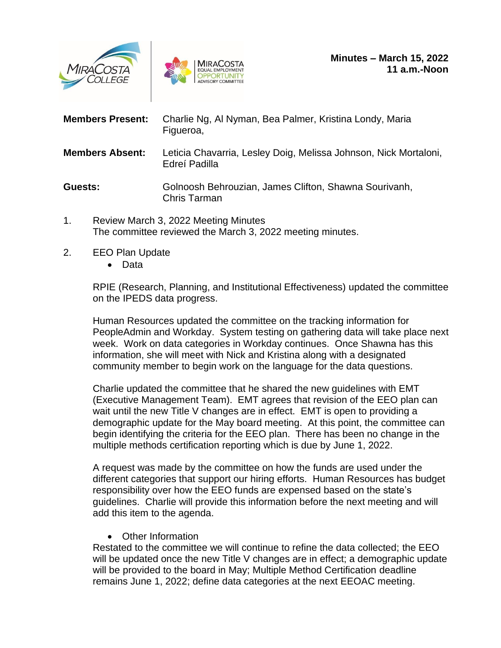



| <b>Members Present:</b> | Charlie Ng, Al Nyman, Bea Palmer, Kristina Londy, Maria<br>Figueroa,              |
|-------------------------|-----------------------------------------------------------------------------------|
| <b>Members Absent:</b>  | Leticia Chavarria, Lesley Doig, Melissa Johnson, Nick Mortaloni,<br>Edreí Padilla |
| Guests:                 | Golnoosh Behrouzian, James Clifton, Shawna Sourivanh,<br>Chris Tarman             |

- 1. Review March 3, 2022 Meeting Minutes The committee reviewed the March 3, 2022 meeting minutes.
- 2. EEO Plan Update
	- Data

RPIE (Research, Planning, and Institutional Effectiveness) updated the committee on the IPEDS data progress.

Human Resources updated the committee on the tracking information for PeopleAdmin and Workday. System testing on gathering data will take place next week. Work on data categories in Workday continues. Once Shawna has this information, she will meet with Nick and Kristina along with a designated community member to begin work on the language for the data questions.

Charlie updated the committee that he shared the new guidelines with EMT (Executive Management Team). EMT agrees that revision of the EEO plan can wait until the new Title V changes are in effect. EMT is open to providing a demographic update for the May board meeting. At this point, the committee can begin identifying the criteria for the EEO plan. There has been no change in the multiple methods certification reporting which is due by June 1, 2022.

A request was made by the committee on how the funds are used under the different categories that support our hiring efforts. Human Resources has budget responsibility over how the EEO funds are expensed based on the state's guidelines. Charlie will provide this information before the next meeting and will add this item to the agenda.

• Other Information

Restated to the committee we will continue to refine the data collected; the EEO will be updated once the new Title V changes are in effect; a demographic update will be provided to the board in May; Multiple Method Certification deadline remains June 1, 2022; define data categories at the next EEOAC meeting.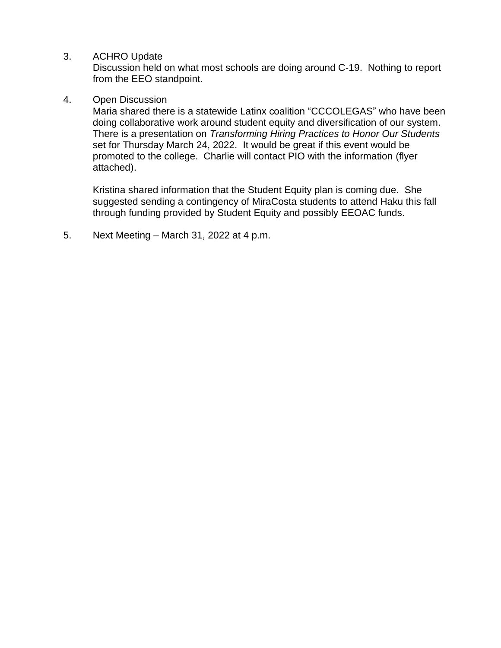3. ACHRO Update

Discussion held on what most schools are doing around C-19. Nothing to report from the EEO standpoint.

## 4. Open Discussion

Maria shared there is a statewide Latinx coalition "CCCOLEGAS" who have been doing collaborative work around student equity and diversification of our system. There is a presentation on *Transforming Hiring Practices to Honor Our Students* set for Thursday March 24, 2022. It would be great if this event would be promoted to the college. Charlie will contact PIO with the information (flyer attached).

Kristina shared information that the Student Equity plan is coming due. She suggested sending a contingency of MiraCosta students to attend Haku this fall through funding provided by Student Equity and possibly EEOAC funds.

5. Next Meeting – March 31, 2022 at 4 p.m.